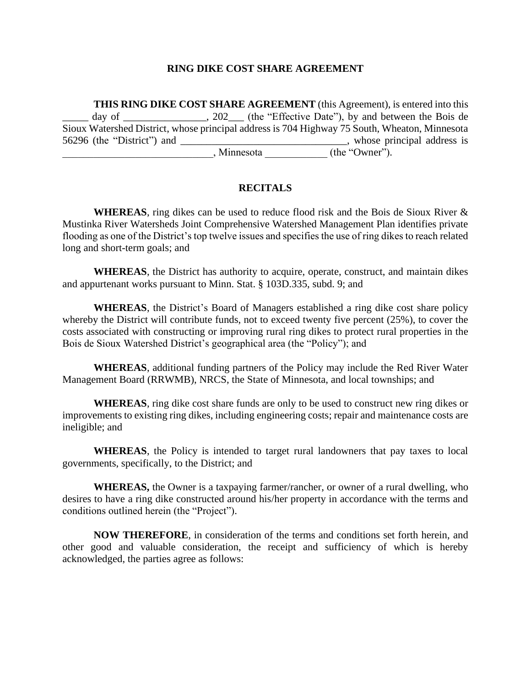#### **RING DIKE COST SHARE AGREEMENT**

**THIS RING DIKE COST SHARE AGREEMENT** (this Agreement), is entered into this day of \_\_\_\_\_\_\_\_\_\_\_\_\_\_, 202\_\_\_ (the "Effective Date"), by and between the Bois de Sioux Watershed District, whose principal address is 704 Highway 75 South, Wheaton, Minnesota 56296 (the "District") and \_\_\_\_\_\_\_\_\_\_\_\_\_\_\_\_\_\_\_\_\_\_\_\_\_\_\_\_\_\_\_\_, whose principal address is  $\blacksquare$ , Minnesota \_\_\_\_\_\_\_\_\_\_\_\_ (the "Owner").

### **RECITALS**

**WHEREAS**, ring dikes can be used to reduce flood risk and the Bois de Sioux River & Mustinka River Watersheds Joint Comprehensive Watershed Management Plan identifies private flooding as one of the District's top twelve issues and specifies the use of ring dikes to reach related long and short-term goals; and

**WHEREAS**, the District has authority to acquire, operate, construct, and maintain dikes and appurtenant works pursuant to Minn. Stat. § 103D.335, subd. 9; and

**WHEREAS**, the District's Board of Managers established a ring dike cost share policy whereby the District will contribute funds, not to exceed twenty five percent (25%), to cover the costs associated with constructing or improving rural ring dikes to protect rural properties in the Bois de Sioux Watershed District's geographical area (the "Policy"); and

**WHEREAS**, additional funding partners of the Policy may include the Red River Water Management Board (RRWMB), NRCS, the State of Minnesota, and local townships; and

**WHEREAS**, ring dike cost share funds are only to be used to construct new ring dikes or improvements to existing ring dikes, including engineering costs; repair and maintenance costs are ineligible; and

**WHEREAS**, the Policy is intended to target rural landowners that pay taxes to local governments, specifically, to the District; and

**WHEREAS,** the Owner is a taxpaying farmer/rancher, or owner of a rural dwelling, who desires to have a ring dike constructed around his/her property in accordance with the terms and conditions outlined herein (the "Project").

**NOW THEREFORE**, in consideration of the terms and conditions set forth herein, and other good and valuable consideration, the receipt and sufficiency of which is hereby acknowledged, the parties agree as follows: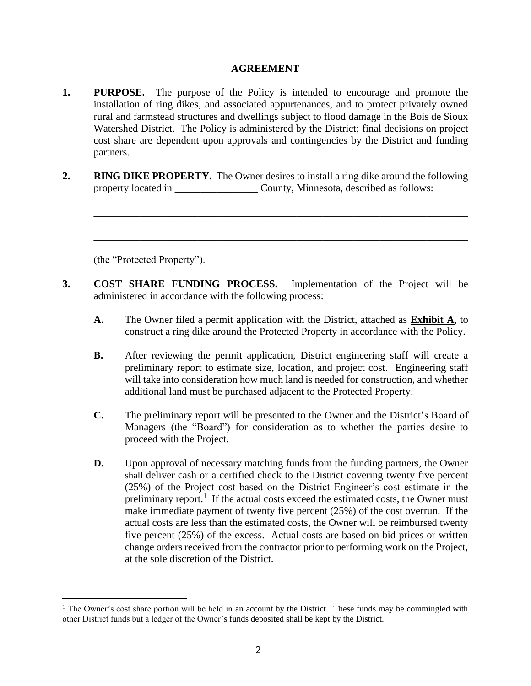### **AGREEMENT**

- **1. PURPOSE.** The purpose of the Policy is intended to encourage and promote the installation of ring dikes, and associated appurtenances, and to protect privately owned rural and farmstead structures and dwellings subject to flood damage in the Bois de Sioux Watershed District. The Policy is administered by the District; final decisions on project cost share are dependent upon approvals and contingencies by the District and funding partners.
- **2. RING DIKE PROPERTY.** The Owner desires to install a ring dike around the following property located in \_\_\_\_\_\_\_\_\_\_\_\_\_\_\_\_\_\_\_\_\_ County, Minnesota, described as follows:

\_\_\_\_\_\_\_\_\_\_\_\_\_\_\_\_\_\_\_\_\_\_\_\_\_\_\_\_\_\_\_\_\_\_\_\_\_\_\_\_\_\_\_\_\_\_\_\_\_\_\_\_\_\_\_\_\_\_\_\_\_\_\_\_\_\_\_\_\_\_\_\_

\_\_\_\_\_\_\_\_\_\_\_\_\_\_\_\_\_\_\_\_\_\_\_\_\_\_\_\_\_\_\_\_\_\_\_\_\_\_\_\_\_\_\_\_\_\_\_\_\_\_\_\_\_\_\_\_\_\_\_\_\_\_\_\_\_\_\_\_\_\_\_\_

(the "Protected Property").

- **3. COST SHARE FUNDING PROCESS.** Implementation of the Project will be administered in accordance with the following process:
	- **A.** The Owner filed a permit application with the District, attached as **Exhibit A**, to construct a ring dike around the Protected Property in accordance with the Policy.
	- **B.** After reviewing the permit application, District engineering staff will create a preliminary report to estimate size, location, and project cost. Engineering staff will take into consideration how much land is needed for construction, and whether additional land must be purchased adjacent to the Protected Property.
	- **C.** The preliminary report will be presented to the Owner and the District's Board of Managers (the "Board") for consideration as to whether the parties desire to proceed with the Project.
	- **D.** Upon approval of necessary matching funds from the funding partners, the Owner shall deliver cash or a certified check to the District covering twenty five percent (25%) of the Project cost based on the District Engineer's cost estimate in the preliminary report.<sup>1</sup> If the actual costs exceed the estimated costs, the Owner must make immediate payment of twenty five percent (25%) of the cost overrun. If the actual costs are less than the estimated costs, the Owner will be reimbursed twenty five percent (25%) of the excess. Actual costs are based on bid prices or written change orders received from the contractor prior to performing work on the Project, at the sole discretion of the District.

<sup>&</sup>lt;sup>1</sup> The Owner's cost share portion will be held in an account by the District. These funds may be commingled with other District funds but a ledger of the Owner's funds deposited shall be kept by the District.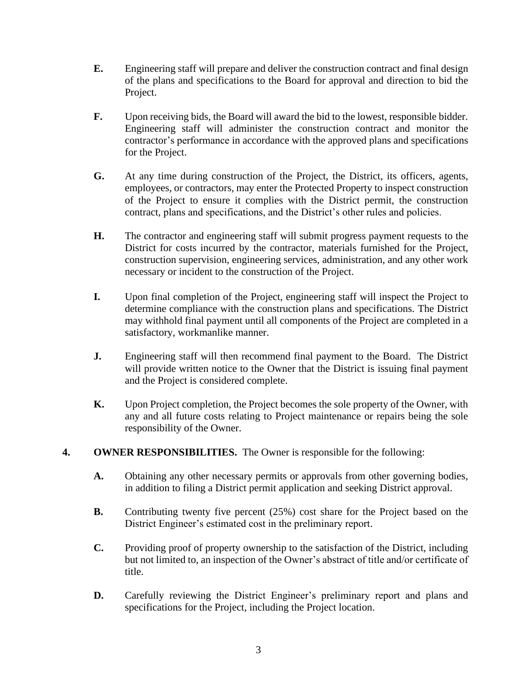- **E.** Engineering staff will prepare and deliver the construction contract and final design of the plans and specifications to the Board for approval and direction to bid the Project.
- **F.** Upon receiving bids, the Board will award the bid to the lowest, responsible bidder. Engineering staff will administer the construction contract and monitor the contractor's performance in accordance with the approved plans and specifications for the Project.
- **G.** At any time during construction of the Project, the District, its officers, agents, employees, or contractors, may enter the Protected Property to inspect construction of the Project to ensure it complies with the District permit, the construction contract, plans and specifications, and the District's other rules and policies.
- **H.** The contractor and engineering staff will submit progress payment requests to the District for costs incurred by the contractor, materials furnished for the Project, construction supervision, engineering services, administration, and any other work necessary or incident to the construction of the Project.
- **I.** Upon final completion of the Project, engineering staff will inspect the Project to determine compliance with the construction plans and specifications. The District may withhold final payment until all components of the Project are completed in a satisfactory, workmanlike manner.
- **J.** Engineering staff will then recommend final payment to the Board. The District will provide written notice to the Owner that the District is issuing final payment and the Project is considered complete.
- **K.** Upon Project completion, the Project becomes the sole property of the Owner, with any and all future costs relating to Project maintenance or repairs being the sole responsibility of the Owner.
- **4. OWNER RESPONSIBILITIES.** The Owner is responsible for the following:
	- **A.** Obtaining any other necessary permits or approvals from other governing bodies, in addition to filing a District permit application and seeking District approval.
	- **B.** Contributing twenty five percent (25%) cost share for the Project based on the District Engineer's estimated cost in the preliminary report.
	- **C.** Providing proof of property ownership to the satisfaction of the District, including but not limited to, an inspection of the Owner's abstract of title and/or certificate of title.
	- **D.** Carefully reviewing the District Engineer's preliminary report and plans and specifications for the Project, including the Project location.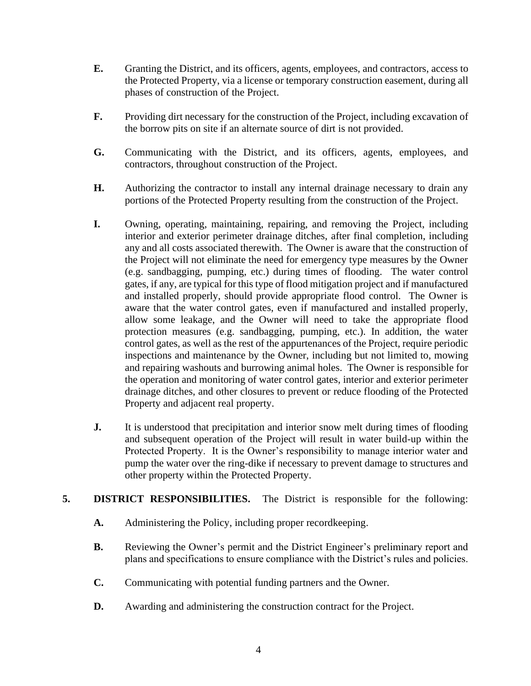- **E.** Granting the District, and its officers, agents, employees, and contractors, access to the Protected Property, via a license or temporary construction easement, during all phases of construction of the Project.
- **F.** Providing dirt necessary for the construction of the Project, including excavation of the borrow pits on site if an alternate source of dirt is not provided.
- **G.** Communicating with the District, and its officers, agents, employees, and contractors, throughout construction of the Project.
- **H.** Authorizing the contractor to install any internal drainage necessary to drain any portions of the Protected Property resulting from the construction of the Project.
- **I.** Owning, operating, maintaining, repairing, and removing the Project, including interior and exterior perimeter drainage ditches, after final completion, including any and all costs associated therewith. The Owner is aware that the construction of the Project will not eliminate the need for emergency type measures by the Owner (e.g. sandbagging, pumping, etc.) during times of flooding. The water control gates, if any, are typical for this type of flood mitigation project and if manufactured and installed properly, should provide appropriate flood control. The Owner is aware that the water control gates, even if manufactured and installed properly, allow some leakage, and the Owner will need to take the appropriate flood protection measures (e.g. sandbagging, pumping, etc.). In addition, the water control gates, as well as the rest of the appurtenances of the Project, require periodic inspections and maintenance by the Owner, including but not limited to, mowing and repairing washouts and burrowing animal holes. The Owner is responsible for the operation and monitoring of water control gates, interior and exterior perimeter drainage ditches, and other closures to prevent or reduce flooding of the Protected Property and adjacent real property.
- **J.** It is understood that precipitation and interior snow melt during times of flooding and subsequent operation of the Project will result in water build-up within the Protected Property. It is the Owner's responsibility to manage interior water and pump the water over the ring-dike if necessary to prevent damage to structures and other property within the Protected Property.

### **5. DISTRICT RESPONSIBILITIES.** The District is responsible for the following:

- **A.** Administering the Policy, including proper recordkeeping.
- **B.** Reviewing the Owner's permit and the District Engineer's preliminary report and plans and specifications to ensure compliance with the District's rules and policies.
- **C.** Communicating with potential funding partners and the Owner.
- **D.** Awarding and administering the construction contract for the Project.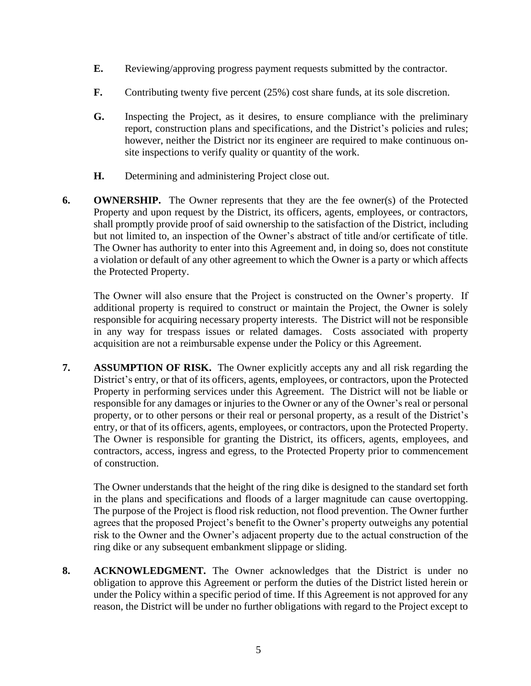- **E.** Reviewing/approving progress payment requests submitted by the contractor.
- **F.** Contributing twenty five percent (25%) cost share funds, at its sole discretion.
- **G.** Inspecting the Project, as it desires, to ensure compliance with the preliminary report, construction plans and specifications, and the District's policies and rules; however, neither the District nor its engineer are required to make continuous onsite inspections to verify quality or quantity of the work.
- **H.** Determining and administering Project close out.
- **6. OWNERSHIP.** The Owner represents that they are the fee owner(s) of the Protected Property and upon request by the District, its officers, agents, employees, or contractors, shall promptly provide proof of said ownership to the satisfaction of the District, including but not limited to, an inspection of the Owner's abstract of title and/or certificate of title. The Owner has authority to enter into this Agreement and, in doing so, does not constitute a violation or default of any other agreement to which the Owner is a party or which affects the Protected Property.

The Owner will also ensure that the Project is constructed on the Owner's property. If additional property is required to construct or maintain the Project, the Owner is solely responsible for acquiring necessary property interests. The District will not be responsible in any way for trespass issues or related damages. Costs associated with property acquisition are not a reimbursable expense under the Policy or this Agreement.

**7. ASSUMPTION OF RISK.** The Owner explicitly accepts any and all risk regarding the District's entry, or that of its officers, agents, employees, or contractors, upon the Protected Property in performing services under this Agreement. The District will not be liable or responsible for any damages or injuries to the Owner or any of the Owner's real or personal property, or to other persons or their real or personal property, as a result of the District's entry, or that of its officers, agents, employees, or contractors, upon the Protected Property. The Owner is responsible for granting the District, its officers, agents, employees, and contractors, access, ingress and egress, to the Protected Property prior to commencement of construction.

The Owner understands that the height of the ring dike is designed to the standard set forth in the plans and specifications and floods of a larger magnitude can cause overtopping. The purpose of the Project is flood risk reduction, not flood prevention. The Owner further agrees that the proposed Project's benefit to the Owner's property outweighs any potential risk to the Owner and the Owner's adjacent property due to the actual construction of the ring dike or any subsequent embankment slippage or sliding.

**8. ACKNOWLEDGMENT.** The Owner acknowledges that the District is under no obligation to approve this Agreement or perform the duties of the District listed herein or under the Policy within a specific period of time. If this Agreement is not approved for any reason, the District will be under no further obligations with regard to the Project except to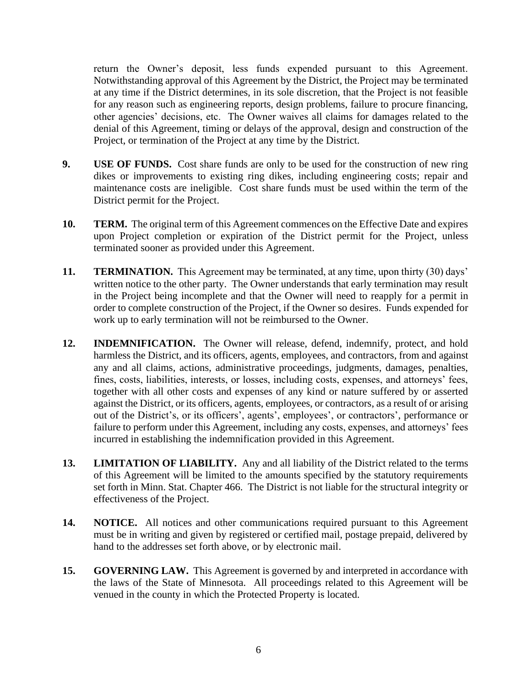return the Owner's deposit, less funds expended pursuant to this Agreement. Notwithstanding approval of this Agreement by the District, the Project may be terminated at any time if the District determines, in its sole discretion, that the Project is not feasible for any reason such as engineering reports, design problems, failure to procure financing, other agencies' decisions, etc. The Owner waives all claims for damages related to the denial of this Agreement, timing or delays of the approval, design and construction of the Project, or termination of the Project at any time by the District.

- **9. USE OF FUNDS.** Cost share funds are only to be used for the construction of new ring dikes or improvements to existing ring dikes, including engineering costs; repair and maintenance costs are ineligible. Cost share funds must be used within the term of the District permit for the Project.
- **10. TERM.** The original term of this Agreement commences on the Effective Date and expires upon Project completion or expiration of the District permit for the Project, unless terminated sooner as provided under this Agreement.
- **11. TERMINATION.** This Agreement may be terminated, at any time, upon thirty (30) days' written notice to the other party. The Owner understands that early termination may result in the Project being incomplete and that the Owner will need to reapply for a permit in order to complete construction of the Project, if the Owner so desires. Funds expended for work up to early termination will not be reimbursed to the Owner.
- **12. INDEMNIFICATION.** The Owner will release, defend, indemnify, protect, and hold harmless the District, and its officers, agents, employees, and contractors, from and against any and all claims, actions, administrative proceedings, judgments, damages, penalties, fines, costs, liabilities, interests, or losses, including costs, expenses, and attorneys' fees, together with all other costs and expenses of any kind or nature suffered by or asserted against the District, or its officers, agents, employees, or contractors, as a result of or arising out of the District's, or its officers', agents', employees', or contractors', performance or failure to perform under this Agreement, including any costs, expenses, and attorneys' fees incurred in establishing the indemnification provided in this Agreement.
- **13. LIMITATION OF LIABILITY.** Any and all liability of the District related to the terms of this Agreement will be limited to the amounts specified by the statutory requirements set forth in Minn. Stat. Chapter 466. The District is not liable for the structural integrity or effectiveness of the Project.
- **14. NOTICE.** All notices and other communications required pursuant to this Agreement must be in writing and given by registered or certified mail, postage prepaid, delivered by hand to the addresses set forth above, or by electronic mail.
- **15. GOVERNING LAW.** This Agreement is governed by and interpreted in accordance with the laws of the State of Minnesota. All proceedings related to this Agreement will be venued in the county in which the Protected Property is located.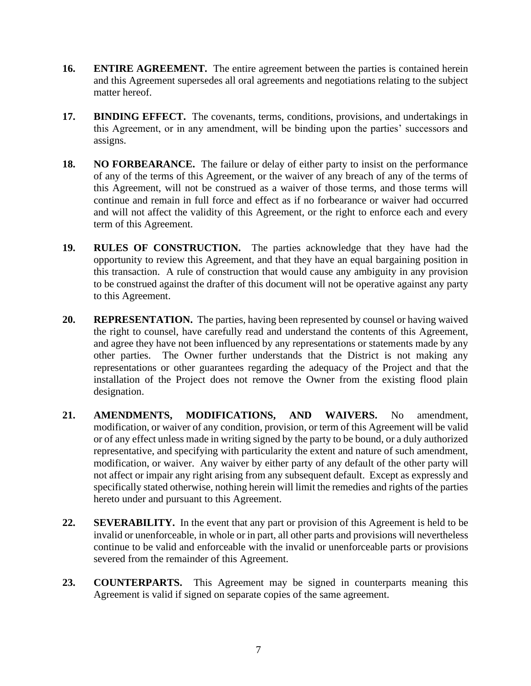- **16. ENTIRE AGREEMENT.** The entire agreement between the parties is contained herein and this Agreement supersedes all oral agreements and negotiations relating to the subject matter hereof.
- **17. BINDING EFFECT.** The covenants, terms, conditions, provisions, and undertakings in this Agreement, or in any amendment, will be binding upon the parties' successors and assigns.
- **18. NO FORBEARANCE.** The failure or delay of either party to insist on the performance of any of the terms of this Agreement, or the waiver of any breach of any of the terms of this Agreement, will not be construed as a waiver of those terms, and those terms will continue and remain in full force and effect as if no forbearance or waiver had occurred and will not affect the validity of this Agreement, or the right to enforce each and every term of this Agreement.
- **19. RULES OF CONSTRUCTION.** The parties acknowledge that they have had the opportunity to review this Agreement, and that they have an equal bargaining position in this transaction. A rule of construction that would cause any ambiguity in any provision to be construed against the drafter of this document will not be operative against any party to this Agreement.
- **20. REPRESENTATION.** The parties, having been represented by counsel or having waived the right to counsel, have carefully read and understand the contents of this Agreement, and agree they have not been influenced by any representations or statements made by any other parties. The Owner further understands that the District is not making any representations or other guarantees regarding the adequacy of the Project and that the installation of the Project does not remove the Owner from the existing flood plain designation.
- **21. AMENDMENTS, MODIFICATIONS, AND WAIVERS.** No amendment, modification, or waiver of any condition, provision, or term of this Agreement will be valid or of any effect unless made in writing signed by the party to be bound, or a duly authorized representative, and specifying with particularity the extent and nature of such amendment, modification, or waiver. Any waiver by either party of any default of the other party will not affect or impair any right arising from any subsequent default. Except as expressly and specifically stated otherwise, nothing herein will limit the remedies and rights of the parties hereto under and pursuant to this Agreement.
- **22. SEVERABILITY.** In the event that any part or provision of this Agreement is held to be invalid or unenforceable, in whole or in part, all other parts and provisions will nevertheless continue to be valid and enforceable with the invalid or unenforceable parts or provisions severed from the remainder of this Agreement.
- **23. COUNTERPARTS.** This Agreement may be signed in counterparts meaning this Agreement is valid if signed on separate copies of the same agreement.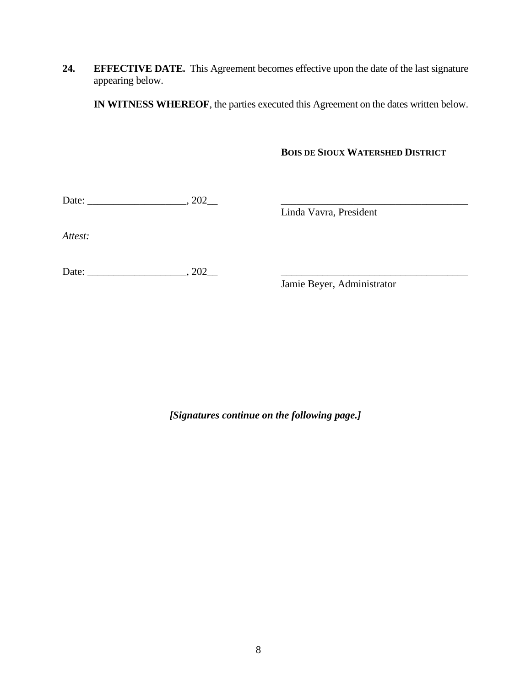**24. EFFECTIVE DATE.** This Agreement becomes effective upon the date of the last signature appearing below.

**IN WITNESS WHEREOF**, the parties executed this Agreement on the dates written below.

### **BOIS DE SIOUX WATERSHED DISTRICT**

Date: \_\_\_\_\_\_\_\_\_\_\_\_\_\_\_\_\_\_\_, 202\_\_ \_\_\_\_\_\_\_\_\_\_\_\_\_\_\_\_\_\_\_\_\_\_\_\_\_\_\_\_\_\_\_\_\_\_\_\_

Linda Vavra, President

*Attest:*

Date: \_\_\_\_\_\_\_\_\_\_\_\_\_\_\_\_\_\_\_, 202\_\_ \_\_\_\_\_\_\_\_\_\_\_\_\_\_\_\_\_\_\_\_\_\_\_\_\_\_\_\_\_\_\_\_\_\_\_\_

Jamie Beyer, Administrator

*[Signatures continue on the following page.]*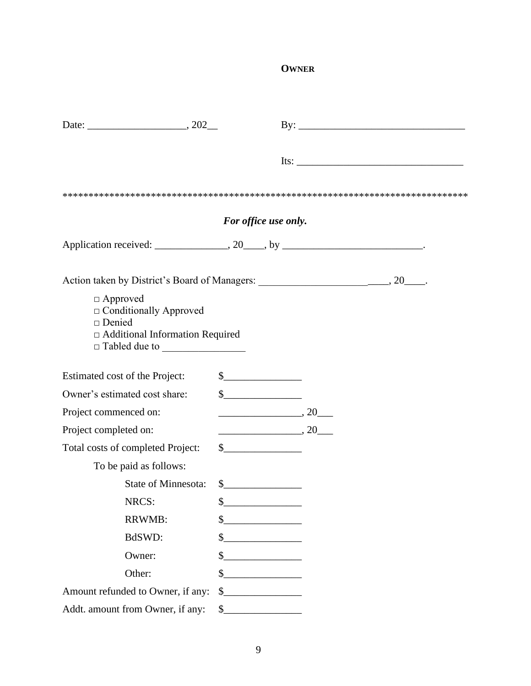# **OWNER**

|                                                                                                        |                                                   |                                                                                                                      | $Its: ____________$ |
|--------------------------------------------------------------------------------------------------------|---------------------------------------------------|----------------------------------------------------------------------------------------------------------------------|---------------------|
|                                                                                                        |                                                   |                                                                                                                      |                     |
|                                                                                                        | For office use only.                              |                                                                                                                      |                     |
|                                                                                                        |                                                   |                                                                                                                      |                     |
|                                                                                                        |                                                   |                                                                                                                      |                     |
| □ Approved<br>$\Box$ Conditionally Approved<br>$\Box$ Denied<br>$\Box$ Additional Information Required |                                                   |                                                                                                                      |                     |
| Estimated cost of the Project:                                                                         | $\frac{1}{2}$                                     |                                                                                                                      |                     |
| Owner's estimated cost share:                                                                          | $\frac{1}{2}$                                     |                                                                                                                      |                     |
| Project commenced on:                                                                                  |                                                   | $\overline{\phantom{a}}$ , 20 $\overline{\phantom{a}}$                                                               |                     |
| Project completed on:                                                                                  |                                                   | $\overline{\phantom{a}}$ , 20 $\overline{\phantom{a}}$                                                               |                     |
| Total costs of completed Project:                                                                      | $\frac{1}{2}$                                     |                                                                                                                      |                     |
| To be paid as follows:                                                                                 |                                                   |                                                                                                                      |                     |
| <b>State of Minnesota:</b>                                                                             | $\sim$                                            |                                                                                                                      |                     |
| NRCS:                                                                                                  | \$                                                |                                                                                                                      |                     |
| <b>RRWMB:</b>                                                                                          | \$<br><u> 1970 - Jan Barbara III, president p</u> |                                                                                                                      |                     |
| BdSWD:                                                                                                 | <u> 1980 - Jan Barbarat, politik e</u> ta p       |                                                                                                                      |                     |
| Owner:                                                                                                 | \$                                                |                                                                                                                      |                     |
| Other:                                                                                                 | \$                                                | <u> 1989 - Jan Stein Stein Stein Stein Stein Stein Stein Stein Stein Stein Stein Stein Stein Stein Stein Stein S</u> |                     |
| Amount refunded to Owner, if any:                                                                      | \$                                                |                                                                                                                      |                     |
| Addt. amount from Owner, if any:                                                                       | $\frac{1}{2}$                                     |                                                                                                                      |                     |